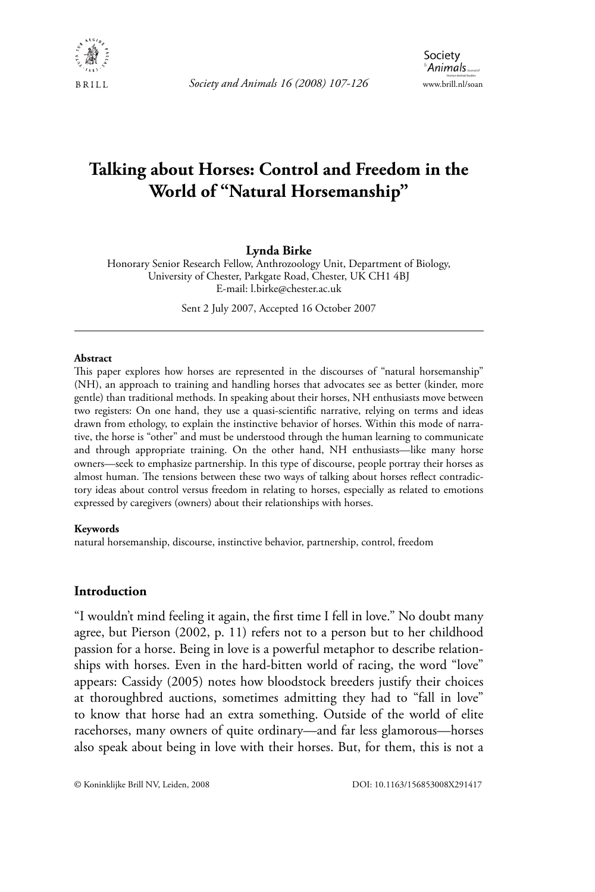

*Society and Animals 16 (2008) 107-126* www.brill.nl/soan

# **Talking about Horses: Control and Freedom in the World of "Natural Horsemanship"**

**Lynda Birke**

Honorary Senior Research Fellow, Anthrozoology Unit, Department of Biology, University of Chester, Parkgate Road, Chester, UK CH1 4BJ E-mail: l.birke@chester.ac.uk

Sent 2 July 2007, Accepted 16 October 2007

#### **Abstract**

This paper explores how horses are represented in the discourses of "natural horsemanship" (NH), an approach to training and handling horses that advocates see as better (kinder, more gentle) than traditional methods. In speaking about their horses, NH enthusiasts move between two registers: On one hand, they use a quasi-scientific narrative, relying on terms and ideas drawn from ethology, to explain the instinctive behavior of horses. Within this mode of narrative, the horse is "other" and must be understood through the human learning to communicate and through appropriate training. On the other hand, NH enthusiasts—like many horse owners—seek to emphasize partnership. In this type of discourse, people portray their horses as almost human. The tensions between these two ways of talking about horses reflect contradictory ideas about control versus freedom in relating to horses, especially as related to emotions expressed by caregivers (owners) about their relationships with horses.

## **Keywords**

natural horsemanship, discourse, instinctive behavior, partnership, control, freedom

# **Introduction**

 "I wouldn't mind feeling it again, the first time I fell in love." No doubt many agree, but Pierson (2002, p. 11) refers not to a person but to her childhood passion for a horse. Being in love is a powerful metaphor to describe relationships with horses. Even in the hard-bitten world of racing, the word "love" appears: Cassidy (2005) notes how bloodstock breeders justify their choices at thoroughbred auctions, sometimes admitting they had to "fall in love" to know that horse had an extra something. Outside of the world of elite racehorses, many owners of quite ordinary—and far less glamorous—horses also speak about being in love with their horses. But, for them, this is not a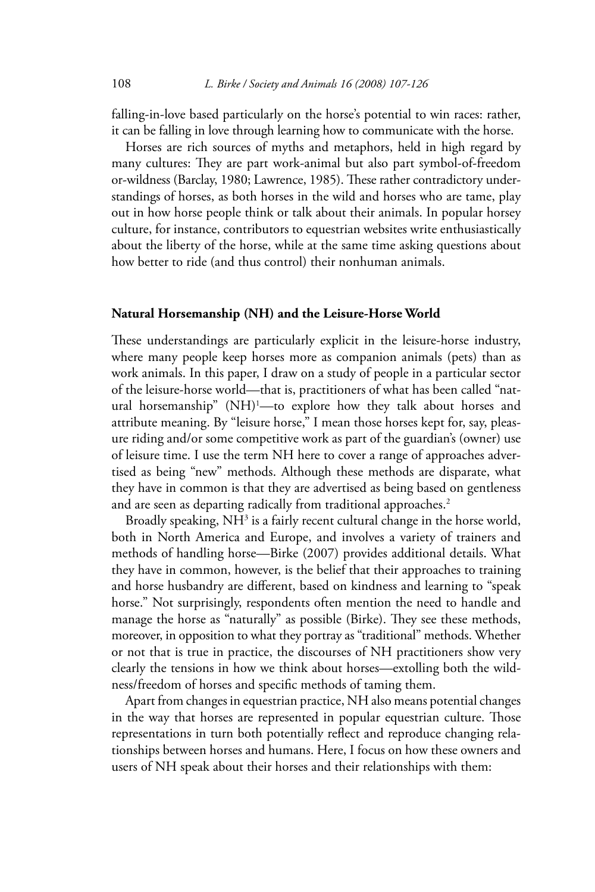falling-in-love based particularly on the horse's potential to win races: rather, it can be falling in love through learning how to communicate with the horse.

 Horses are rich sources of myths and metaphors, held in high regard by many cultures: They are part work-animal but also part symbol-of-freedom or-wildness (Barclay, 1980; Lawrence, 1985). These rather contradictory understandings of horses, as both horses in the wild and horses who are tame, play out in how horse people think or talk about their animals. In popular horsey culture, for instance, contributors to equestrian websites write enthusiastically about the liberty of the horse, while at the same time asking questions about how better to ride (and thus control) their nonhuman animals.

## **Natural Horsemanship (NH) and the Leisure-Horse World**

These understandings are particularly explicit in the leisure-horse industry, where many people keep horses more as companion animals (pets) than as work animals. In this paper, I draw on a study of people in a particular sector of the leisure-horse world—that is, practitioners of what has been called "natural horsemanship"  $(NH)^{1}$ —to explore how they talk about horses and attribute meaning. By "leisure horse," I mean those horses kept for, say, pleasure riding and/or some competitive work as part of the guardian's (owner) use of leisure time. I use the term NH here to cover a range of approaches advertised as being "new" methods. Although these methods are disparate, what they have in common is that they are advertised as being based on gentleness and are seen as departing radically from traditional approaches.<sup>2</sup>

Broadly speaking,  $NH<sup>3</sup>$  is a fairly recent cultural change in the horse world, both in North America and Europe, and involves a variety of trainers and methods of handling horse—Birke (2007) provides additional details. What they have in common, however, is the belief that their approaches to training and horse husbandry are different, based on kindness and learning to "speak horse." Not surprisingly, respondents often mention the need to handle and manage the horse as "naturally" as possible (Birke). They see these methods, moreover, in opposition to what they portray as "traditional" methods. Whether or not that is true in practice, the discourses of NH practitioners show very clearly the tensions in how we think about horses—extolling both the wildness/freedom of horses and specific methods of taming them.

 Apart from changes in equestrian practice, NH also means potential changes in the way that horses are represented in popular equestrian culture. Those representations in turn both potentially reflect and reproduce changing relationships between horses and humans. Here, I focus on how these owners and users of NH speak about their horses and their relationships with them: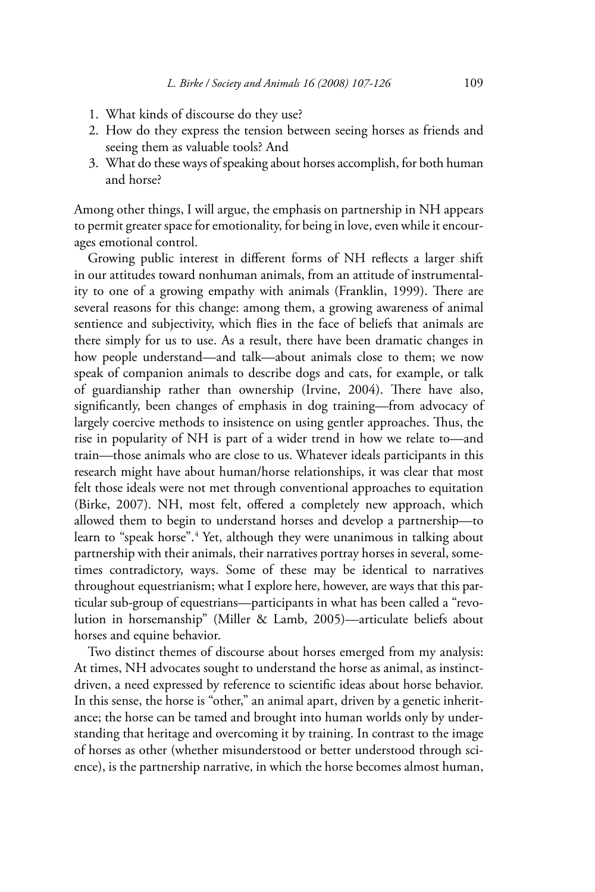- 1. What kinds of discourse do they use?
- 2. How do they express the tension between seeing horses as friends and seeing them as valuable tools? And
- 3. What do these ways of speaking about horses accomplish, for both human and horse?

 Among other things, I will argue, the emphasis on partnership in NH appears to permit greater space for emotionality, for being in love, even while it encourages emotional control.

 Growing public interest in different forms of NH reflects a larger shift in our attitudes toward nonhuman animals, from an attitude of instrumentality to one of a growing empathy with animals (Franklin, 1999). There are several reasons for this change: among them, a growing awareness of animal sentience and subjectivity, which flies in the face of beliefs that animals are there simply for us to use. As a result, there have been dramatic changes in how people understand—and talk—about animals close to them; we now speak of companion animals to describe dogs and cats, for example, or talk of guardianship rather than ownership (Irvine, 2004). There have also, significantly, been changes of emphasis in dog training—from advocacy of largely coercive methods to insistence on using gentler approaches. Thus, the rise in popularity of NH is part of a wider trend in how we relate to—and train—those animals who are close to us. Whatever ideals participants in this research might have about human/horse relationships, it was clear that most felt those ideals were not met through conventional approaches to equitation (Birke, 2007). NH, most felt, offered a completely new approach, which allowed them to begin to understand horses and develop a partnership—to learn to "speak horse".4 Yet, although they were unanimous in talking about partnership with their animals, their narratives portray horses in several, sometimes contradictory, ways. Some of these may be identical to narratives throughout equestrianism; what I explore here, however, are ways that this particular sub-group of equestrians—participants in what has been called a "revolution in horsemanship" (Miller & Lamb, 2005)—articulate beliefs about horses and equine behavior.

 Two distinct themes of discourse about horses emerged from my analysis: At times, NH advocates sought to understand the horse as animal, as instinctdriven, a need expressed by reference to scientific ideas about horse behavior. In this sense, the horse is "other," an animal apart, driven by a genetic inheritance; the horse can be tamed and brought into human worlds only by understanding that heritage and overcoming it by training. In contrast to the image of horses as other (whether misunderstood or better understood through science), is the partnership narrative, in which the horse becomes almost human,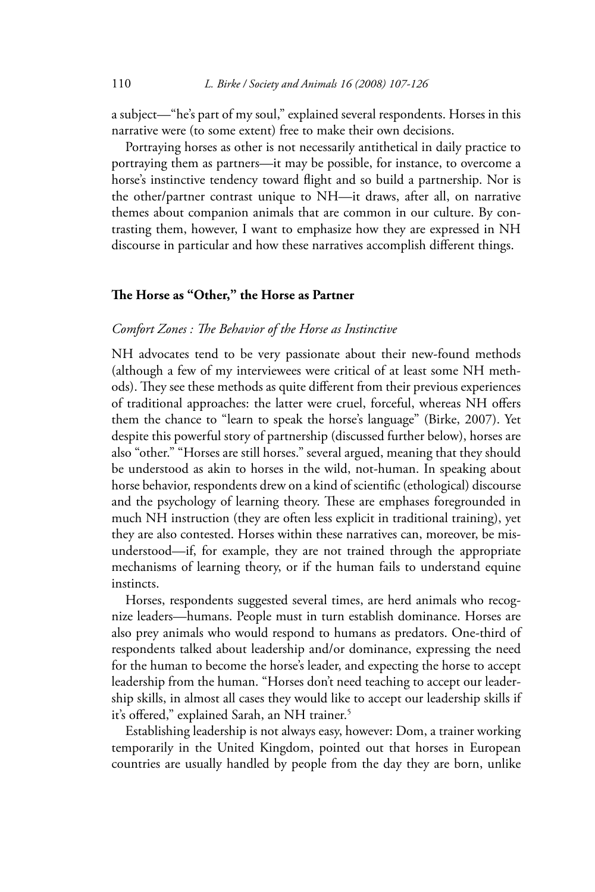a subject—"he's part of my soul," explained several respondents. Horses in this narrative were (to some extent) free to make their own decisions.

 Portraying horses as other is not necessarily antithetical in daily practice to portraying them as partners—it may be possible, for instance, to overcome a horse's instinctive tendency toward flight and so build a partnership. Nor is the other/partner contrast unique to NH—it draws, after all, on narrative themes about companion animals that are common in our culture. By contrasting them, however, I want to emphasize how they are expressed in NH discourse in particular and how these narratives accomplish different things.

# The Horse as "Other," the Horse as Partner

## *Comfort Zones: The Behavior of the Horse as Instinctive*

 NH advocates tend to be very passionate about their new-found methods (although a few of my interviewees were critical of at least some NH methods). They see these methods as quite different from their previous experiences of traditional approaches: the latter were cruel, forceful, whereas NH offers them the chance to "learn to speak the horse's language" (Birke, 2007). Yet despite this powerful story of partnership (discussed further below), horses are also "other." "Horses are still horses." several argued, meaning that they should be understood as akin to horses in the wild, not-human. In speaking about horse behavior, respondents drew on a kind of scientific (ethological) discourse and the psychology of learning theory. These are emphases foregrounded in much NH instruction (they are often less explicit in traditional training), yet they are also contested. Horses within these narratives can, moreover, be misunderstood—if, for example, they are not trained through the appropriate mechanisms of learning theory, or if the human fails to understand equine instincts.

 Horses, respondents suggested several times, are herd animals who recognize leaders—humans. People must in turn establish dominance. Horses are also prey animals who would respond to humans as predators. One-third of respondents talked about leadership and/or dominance, expressing the need for the human to become the horse's leader, and expecting the horse to accept leadership from the human. "Horses don't need teaching to accept our leadership skills, in almost all cases they would like to accept our leadership skills if it's offered," explained Sarah, an NH trainer.<sup>5</sup>

 Establishing leadership is not always easy, however: Dom, a trainer working temporarily in the United Kingdom, pointed out that horses in European countries are usually handled by people from the day they are born, unlike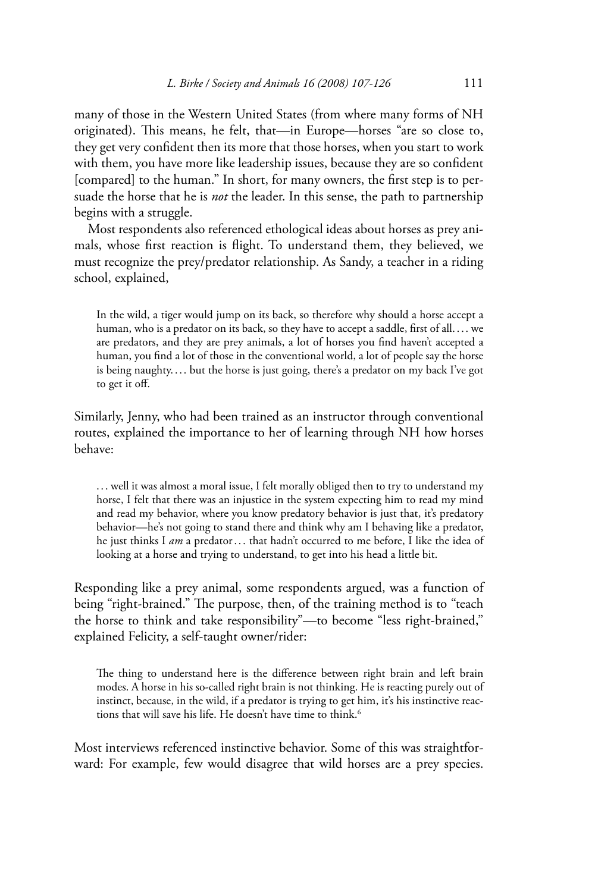many of those in the Western United States (from where many forms of NH originated). This means, he felt, that—in Europe—horses "are so close to, they get very confident then its more that those horses, when you start to work with them, you have more like leadership issues, because they are so confident [compared] to the human." In short, for many owners, the first step is to persuade the horse that he is *not* the leader. In this sense, the path to partnership begins with a struggle.

 Most respondents also referenced ethological ideas about horses as prey animals, whose first reaction is flight. To understand them, they believed, we must recognize the prey/predator relationship. As Sandy, a teacher in a riding school, explained,

 In the wild, a tiger would jump on its back, so therefore why should a horse accept a human, who is a predator on its back, so they have to accept a saddle, first of all.... we are predators, and they are prey animals, a lot of horses you find haven't accepted a human, you find a lot of those in the conventional world, a lot of people say the horse is being naughty.... but the horse is just going, there's a predator on my back I've got to get it off.

 Similarly, Jenny, who had been trained as an instructor through conventional routes, explained the importance to her of learning through NH how horses behave:

 . . . well it was almost a moral issue, I felt morally obliged then to try to understand my horse, I felt that there was an injustice in the system expecting him to read my mind and read my behavior, where you know predatory behavior is just that, it's predatory behavior—he's not going to stand there and think why am I behaving like a predator, he just thinks I *am* a predator ... that hadn't occurred to me before, I like the idea of looking at a horse and trying to understand, to get into his head a little bit.

 Responding like a prey animal, some respondents argued, was a function of being "right-brained." The purpose, then, of the training method is to "teach the horse to think and take responsibility"—to become "less right-brained," explained Felicity, a self-taught owner/rider:

The thing to understand here is the difference between right brain and left brain modes. A horse in his so-called right brain is not thinking. He is reacting purely out of instinct, because, in the wild, if a predator is trying to get him, it's his instinctive reactions that will save his life. He doesn't have time to think.<sup>6</sup>

 Most interviews referenced instinctive behavior. Some of this was straightforward: For example, few would disagree that wild horses are a prey species.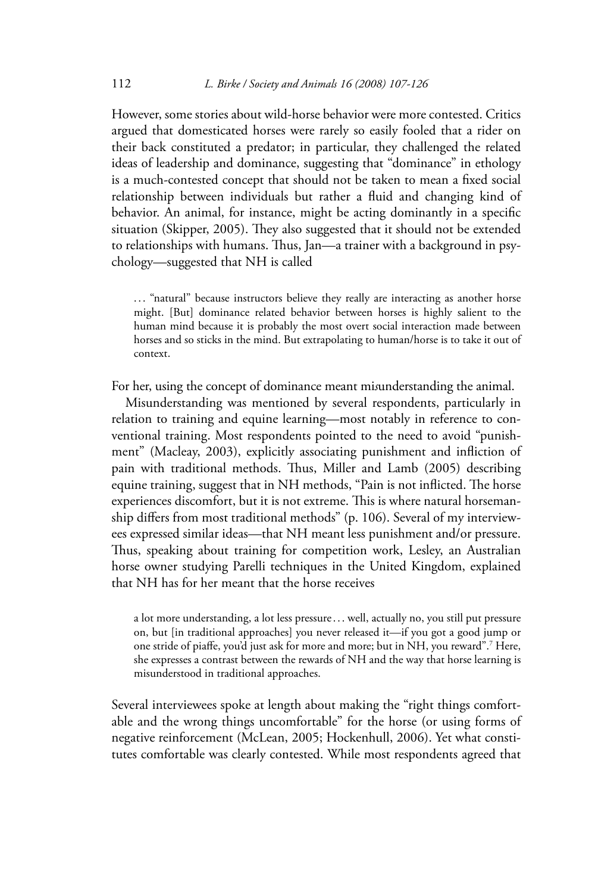However, some stories about wild-horse behavior were more contested. Critics argued that domesticated horses were rarely so easily fooled that a rider on their back constituted a predator; in particular, they challenged the related ideas of leadership and dominance, suggesting that "dominance" in ethology is a much-contested concept that should not be taken to mean a fixed social relationship between individuals but rather a fluid and changing kind of behavior. An animal, for instance, might be acting dominantly in a specific situation (Skipper, 2005). They also suggested that it should not be extended to relationships with humans. Thus, Jan—a trainer with a background in psychology—suggested that NH is called

... "natural" because instructors believe they really are interacting as another horse might. [But] dominance related behavior between horses is highly salient to the human mind because it is probably the most overt social interaction made between horses and so sticks in the mind. But extrapolating to human/horse is to take it out of context.

For her, using the concept of dominance meant mi*s*understanding the animal.

 Misunderstanding was mentioned by several respondents, particularly in relation to training and equine learning—most notably in reference to conventional training. Most respondents pointed to the need to avoid "punishment" (Macleay, 2003), explicitly associating punishment and infliction of pain with traditional methods. Thus, Miller and Lamb (2005) describing equine training, suggest that in NH methods, "Pain is not inflicted. The horse experiences discomfort, but it is not extreme. This is where natural horsemanship differs from most traditional methods" (p. 106). Several of my interviewees expressed similar ideas—that NH meant less punishment and/or pressure. Thus, speaking about training for competition work, Lesley, an Australian horse owner studying Parelli techniques in the United Kingdom, explained that NH has for her meant that the horse receives

 a lot more understanding, a lot less pressure . . . well, actually no, you still put pressure on, but [in traditional approaches] you never released it—if you got a good jump or one stride of piaffe, you'd just ask for more and more; but in NH, you reward".7 Here, she expresses a contrast between the rewards of NH and the way that horse learning is misunderstood in traditional approaches.

 Several interviewees spoke at length about making the "right things comfortable and the wrong things uncomfortable" for the horse (or using forms of negative reinforcement (McLean, 2005; Hockenhull, 2006). Yet what constitutes comfortable was clearly contested. While most respondents agreed that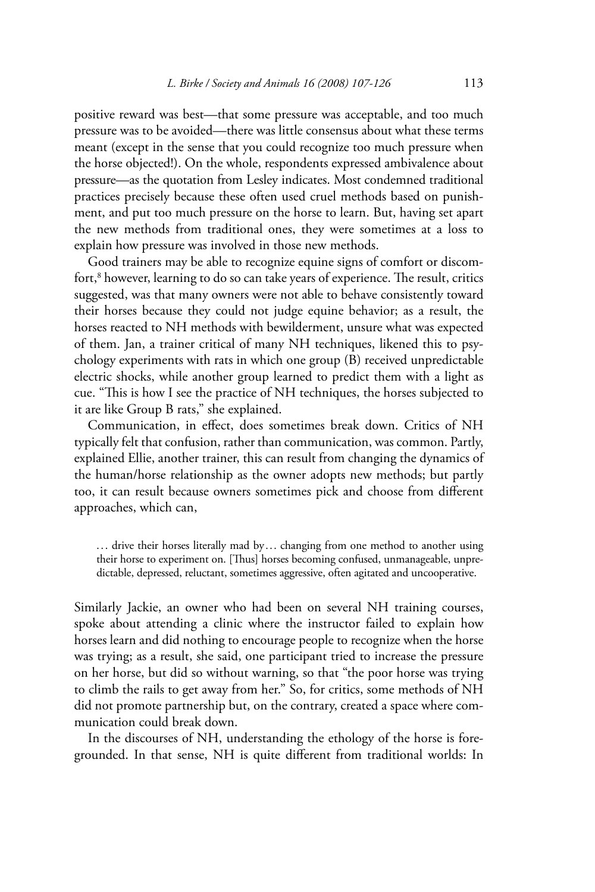positive reward was best—that some pressure was acceptable, and too much pressure was to be avoided—there was little consensus about what these terms meant (except in the sense that you could recognize too much pressure when the horse objected!). On the whole, respondents expressed ambivalence about pressure—as the quotation from Lesley indicates. Most condemned traditional practices precisely because these often used cruel methods based on punishment, and put too much pressure on the horse to learn. But, having set apart the new methods from traditional ones, they were sometimes at a loss to explain how pressure was involved in those new methods.

 Good trainers may be able to recognize equine signs of comfort or discomfort,<sup>8</sup> however, learning to do so can take years of experience. The result, critics suggested, was that many owners were not able to behave consistently toward their horses because they could not judge equine behavior; as a result, the horses reacted to NH methods with bewilderment, unsure what was expected of them. Jan, a trainer critical of many NH techniques, likened this to psychology experiments with rats in which one group (B) received unpredictable electric shocks, while another group learned to predict them with a light as cue. "This is how I see the practice of NH techniques, the horses subjected to it are like Group B rats," she explained.

 Communication, in effect, does sometimes break down. Critics of NH typically felt that confusion, rather than communication, was common. Partly, explained Ellie, another trainer, this can result from changing the dynamics of the human/horse relationship as the owner adopts new methods; but partly too, it can result because owners sometimes pick and choose from different approaches, which can,

... drive their horses literally mad by ... changing from one method to another using their horse to experiment on. [Thus] horses becoming confused, unmanageable, unpredictable, depressed, reluctant, sometimes aggressive, often agitated and uncooperative.

 Similarly Jackie, an owner who had been on several NH training courses, spoke about attending a clinic where the instructor failed to explain how horses learn and did nothing to encourage people to recognize when the horse was trying; as a result, she said, one participant tried to increase the pressure on her horse, but did so without warning, so that "the poor horse was trying to climb the rails to get away from her." So, for critics, some methods of NH did not promote partnership but, on the contrary, created a space where communication could break down.

 In the discourses of NH, understanding the ethology of the horse is foregrounded. In that sense, NH is quite different from traditional worlds: In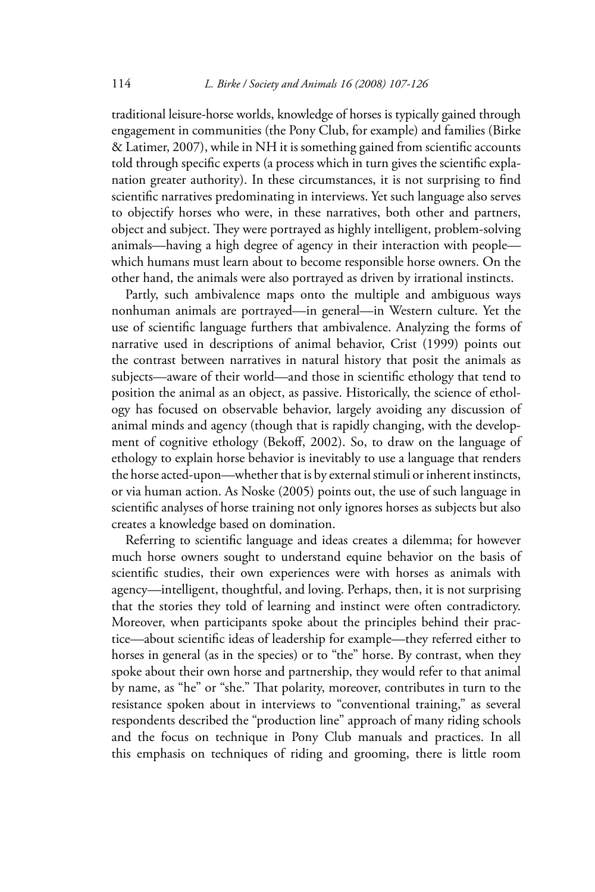traditional leisure-horse worlds, knowledge of horses is typically gained through engagement in communities (the Pony Club, for example) and families (Birke & Latimer, 2007), while in NH it is something gained from scientific accounts told through specific experts (a process which in turn gives the scientific explanation greater authority). In these circumstances, it is not surprising to find scientific narratives predominating in interviews. Yet such language also serves to objectify horses who were, in these narratives, both other and partners, object and subject. They were portrayed as highly intelligent, problem-solving animals—having a high degree of agency in their interaction with people which humans must learn about to become responsible horse owners. On the other hand, the animals were also portrayed as driven by irrational instincts.

 Partly, such ambivalence maps onto the multiple and ambiguous ways nonhuman animals are portrayed—in general—in Western culture. Yet the use of scientific language furthers that ambivalence. Analyzing the forms of narrative used in descriptions of animal behavior, Crist (1999) points out the contrast between narratives in natural history that posit the animals as subjects—aware of their world—and those in scientific ethology that tend to position the animal as an object, as passive. Historically, the science of ethology has focused on observable behavior, largely avoiding any discussion of animal minds and agency (though that is rapidly changing, with the development of cognitive ethology (Bekoff, 2002). So, to draw on the language of ethology to explain horse behavior is inevitably to use a language that renders the horse acted-upon—whether that is by external stimuli or inherent instincts, or via human action. As Noske (2005) points out, the use of such language in scientific analyses of horse training not only ignores horses as subjects but also creates a knowledge based on domination.

 Referring to scientific language and ideas creates a dilemma; for however much horse owners sought to understand equine behavior on the basis of scientific studies, their own experiences were with horses as animals with agency—intelligent, thoughtful, and loving. Perhaps, then, it is not surprising that the stories they told of learning and instinct were often contradictory. Moreover, when participants spoke about the principles behind their practice—about scientific ideas of leadership for example—they referred either to horses in general (as in the species) or to "the" horse. By contrast, when they spoke about their own horse and partnership, they would refer to that animal by name, as "he" or "she." That polarity, moreover, contributes in turn to the resistance spoken about in interviews to "conventional training," as several respondents described the "production line" approach of many riding schools and the focus on technique in Pony Club manuals and practices. In all this emphasis on techniques of riding and grooming, there is little room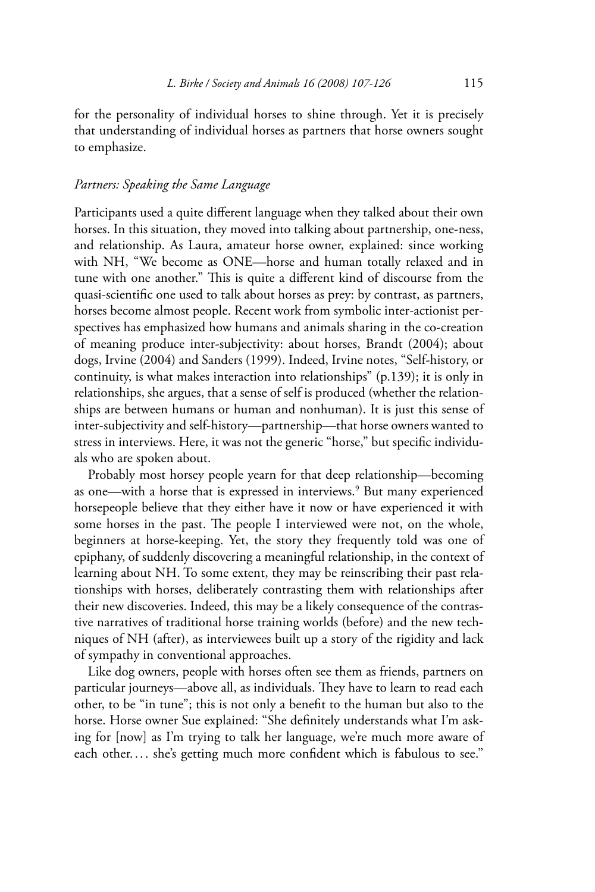for the personality of individual horses to shine through. Yet it is precisely that understanding of individual horses as partners that horse owners sought to emphasize.

# *Partners: Speaking the Same Language*

 Participants used a quite different language when they talked about their own horses. In this situation, they moved into talking about partnership, one-ness, and relationship. As Laura, amateur horse owner, explained: since working with NH, "We become as ONE—horse and human totally relaxed and in tune with one another." This is quite a different kind of discourse from the quasi-scientific one used to talk about horses as prey: by contrast, as partners, horses become almost people. Recent work from symbolic inter-actionist perspectives has emphasized how humans and animals sharing in the co-creation of meaning produce inter-subjectivity: about horses, Brandt (2004); about dogs, Irvine (2004) and Sanders (1999). Indeed, Irvine notes, "Self-history, or continuity, is what makes interaction into relationships" (p.139); it is only in relationships, she argues, that a sense of self is produced (whether the relationships are between humans or human and nonhuman). It is just this sense of inter-subjectivity and self-history—partnership—that horse owners wanted to stress in interviews. Here, it was not the generic "horse," but specific individuals who are spoken about.

 Probably most horsey people yearn for that deep relationship—becoming as one—with a horse that is expressed in interviews.<sup>9</sup> But many experienced horsepeople believe that they either have it now or have experienced it with some horses in the past. The people I interviewed were not, on the whole, beginners at horse-keeping. Yet, the story they frequently told was one of epiphany, of suddenly discovering a meaningful relationship, in the context of learning about NH. To some extent, they may be reinscribing their past relationships with horses, deliberately contrasting them with relationships after their new discoveries. Indeed, this may be a likely consequence of the contrastive narratives of traditional horse training worlds (before) and the new techniques of NH (after), as interviewees built up a story of the rigidity and lack of sympathy in conventional approaches.

 Like dog owners, people with horses often see them as friends, partners on particular journeys—above all, as individuals. They have to learn to read each other, to be "in tune"; this is not only a benefit to the human but also to the horse. Horse owner Sue explained: "She definitely understands what I'm asking for [now] as I'm trying to talk her language, we're much more aware of each other.... she's getting much more confident which is fabulous to see."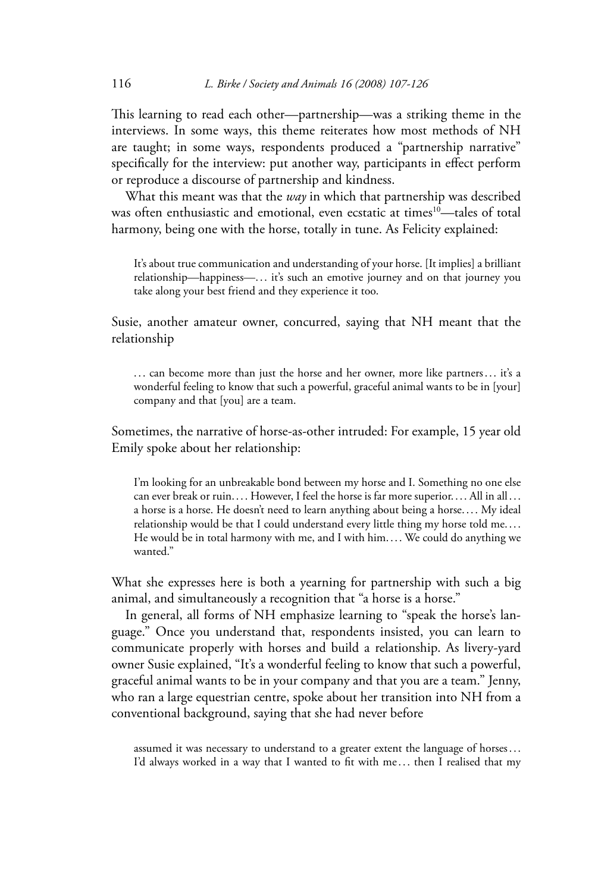This learning to read each other—partnership—was a striking theme in the interviews. In some ways, this theme reiterates how most methods of NH are taught; in some ways, respondents produced a "partnership narrative" specifically for the interview: put another way, participants in effect perform or reproduce a discourse of partnership and kindness.

 What this meant was that the *way* in which that partnership was described was often enthusiastic and emotional, even ecstatic at times<sup>10</sup>—tales of total harmony, being one with the horse, totally in tune. As Felicity explained:

 It's about true communication and understanding of your horse. [It implies] a brilliant relationship—happiness—. . . it's such an emotive journey and on that journey you take along your best friend and they experience it too.

 Susie, another amateur owner, concurred, saying that NH meant that the relationship

. . . can become more than just the horse and her owner, more like partners . . . it's a wonderful feeling to know that such a powerful, graceful animal wants to be in [your] company and that [you] are a team.

 Sometimes, the narrative of horse-as-other intruded: For example, 15 year old Emily spoke about her relationship:

 I'm looking for an unbreakable bond between my horse and I. Something no one else can ever break or ruin.... However, I feel the horse is far more superior.... All in all... a horse is a horse. He doesn't need to learn anything about being a horse. . . . My ideal relationship would be that I could understand every little thing my horse told me. . . . He would be in total harmony with me, and I with him. . . . We could do anything we wanted."

 What she expresses here is both a yearning for partnership with such a big animal, and simultaneously a recognition that "a horse is a horse."

 In general, all forms of NH emphasize learning to "speak the horse's language." Once you understand that, respondents insisted, you can learn to communicate properly with horses and build a relationship. As livery-yard owner Susie explained," It's a wonderful feeling to know that such a powerful, graceful animal wants to be in your company and that you are a team." Jenny, who ran a large equestrian centre, spoke about her transition into NH from a conventional background, saying that she had never before

assumed it was necessary to understand to a greater extent the language of horses . . . I'd always worked in a way that I wanted to fit with me... then I realised that my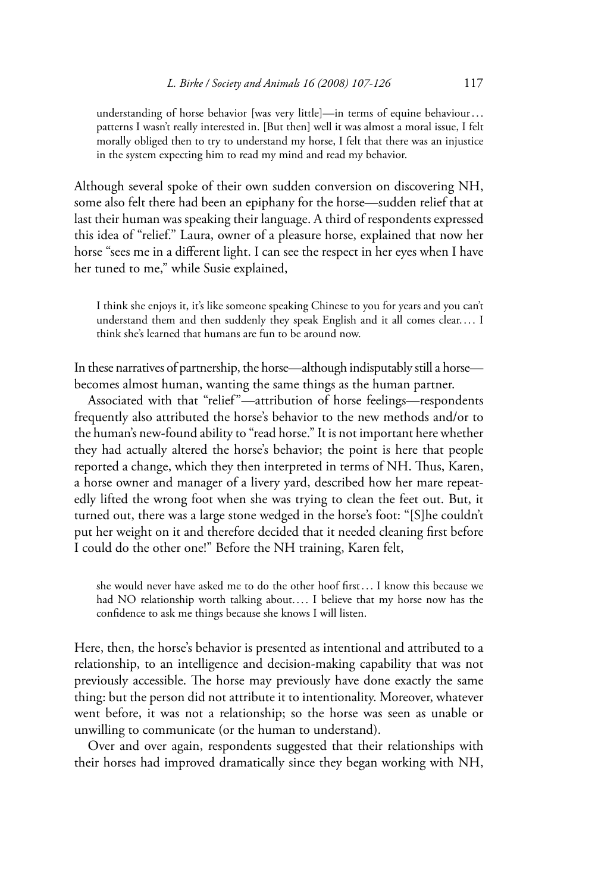understanding of horse behavior [was very little]—in terms of equine behaviour . . . patterns I wasn't really interested in. [But then] well it was almost a moral issue, I felt morally obliged then to try to understand my horse, I felt that there was an injustice in the system expecting him to read my mind and read my behavior.

 Although several spoke of their own sudden conversion on discovering NH, some also felt there had been an epiphany for the horse—sudden relief that at last their human was speaking their language. A third of respondents expressed this idea of "relief." Laura, owner of a pleasure horse, explained that now her horse "sees me in a different light. I can see the respect in her eyes when I have her tuned to me," while Susie explained,

 I think she enjoys it, it's like someone speaking Chinese to you for years and you can't understand them and then suddenly they speak English and it all comes clear.... I think she's learned that humans are fun to be around now.

 In these narratives of partnership, the horse—although indisputably still a horse becomes almost human, wanting the same things as the human partner.

 Associated with that "relief"—attribution of horse feelings—respondents frequently also attributed the horse's behavior to the new methods and/or to the human's new-found ability to "read horse." It is not important here whether they had actually altered the horse's behavior; the point is here that people reported a change, which they then interpreted in terms of NH. Thus, Karen, a horse owner and manager of a livery yard, described how her mare repeatedly lifted the wrong foot when she was trying to clean the feet out. But, it turned out, there was a large stone wedged in the horse's foot: "[S]he couldn't put her weight on it and therefore decided that it needed cleaning first before I could do the other one!" Before the NH training, Karen felt,

 she would never have asked me to do the other hoof first . . . I know this because we had NO relationship worth talking about.... I believe that my horse now has the confidence to ask me things because she knows I will listen.

 Here, then, the horse's behavior is presented as intentional and attributed to a relationship, to an intelligence and decision-making capability that was not previously accessible. The horse may previously have done exactly the same thing: but the person did not attribute it to intentionality. Moreover, whatever went before, it was not a relationship; so the horse was seen as unable or unwilling to communicate (or the human to understand).

 Over and over again, respondents suggested that their relationships with their horses had improved dramatically since they began working with NH,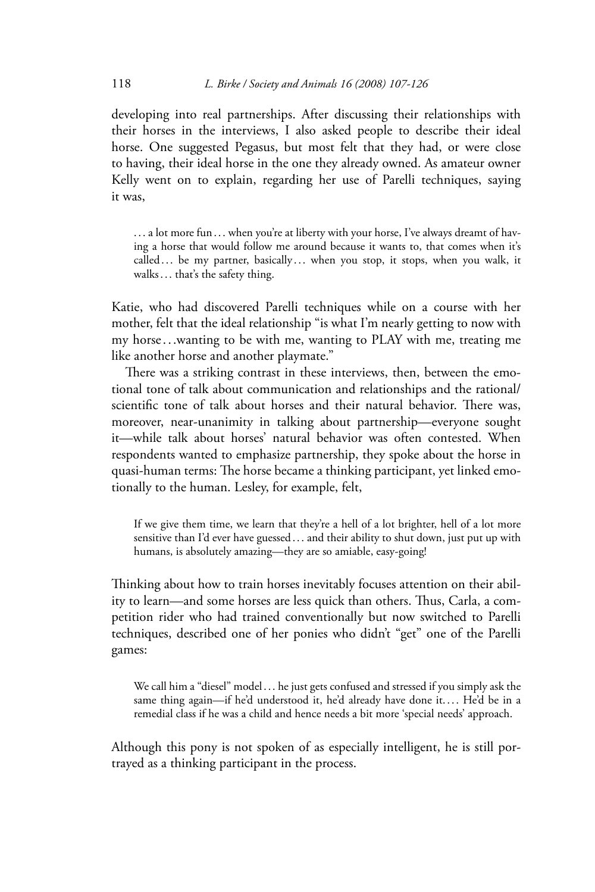developing into real partnerships. After discussing their relationships with their horses in the interviews, I also asked people to describe their ideal horse. One suggested Pegasus, but most felt that they had, or were close to having, their ideal horse in the one they already owned. As amateur owner Kelly went on to explain, regarding her use of Parelli techniques, saying it was,

. . . a lot more fun . . . when you're at liberty with your horse, I've always dreamt of having a horse that would follow me around because it wants to, that comes when it's called ... be my partner, basically ... when you stop, it stops, when you walk, it walks . . . that's the safety thing.

 Katie, who had discovered Parelli techniques while on a course with her mother, felt that the ideal relationship "is what I'm nearly getting to now with my horse . . .wanting to be with me, wanting to PLAY with me, treating me like another horse and another playmate."

There was a striking contrast in these interviews, then, between the emotional tone of talk about communication and relationships and the rational/ scientific tone of talk about horses and their natural behavior. There was, moreover, near-unanimity in talking about partnership—everyone sought it—while talk about horses' natural behavior was often contested. When respondents wanted to emphasize partnership, they spoke about the horse in quasi-human terms: The horse became a thinking participant, yet linked emotionally to the human. Lesley, for example, felt,

 If we give them time, we learn that they're a hell of a lot brighter, hell of a lot more sensitive than I'd ever have guessed . . . and their ability to shut down, just put up with humans, is absolutely amazing—they are so amiable, easy-going!

Thinking about how to train horses inevitably focuses attention on their ability to learn—and some horses are less quick than others. Thus, Carla, a competition rider who had trained conventionally but now switched to Parelli techniques, described one of her ponies who didn't "get" one of the Parelli games:

We call him a "diesel" model . . . he just gets confused and stressed if you simply ask the same thing again—if he'd understood it, he'd already have done it.... He'd be in a remedial class if he was a child and hence needs a bit more 'special needs' approach.

 Although this pony is not spoken of as especially intelligent, he is still portrayed as a thinking participant in the process.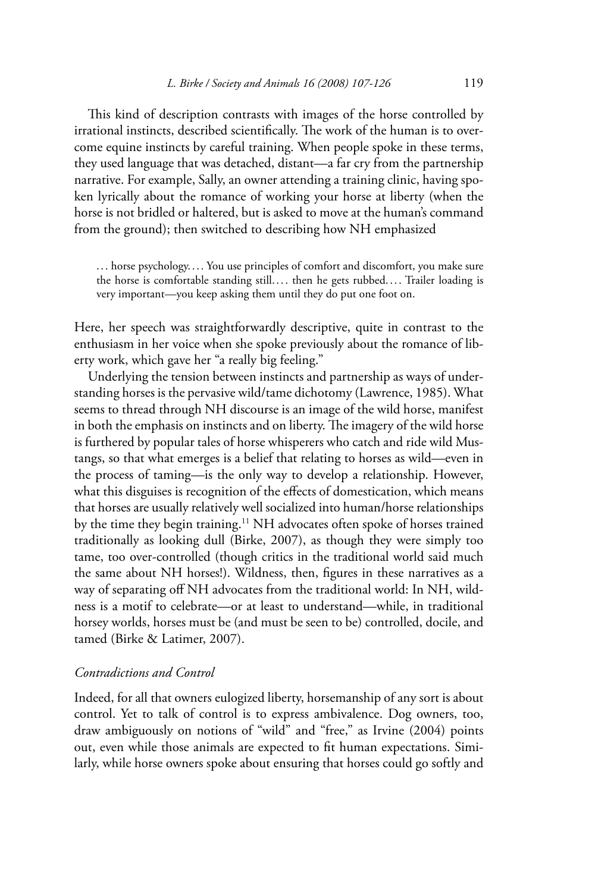This kind of description contrasts with images of the horse controlled by irrational instincts, described scientifically. The work of the human is to overcome equine instincts by careful training. When people spoke in these terms, they used language that was detached, distant—a far cry from the partnership narrative. For example, Sally, an owner attending a training clinic, having spoken lyrically about the romance of working your horse at liberty (when the horse is not bridled or haltered, but is asked to move at the human's command from the ground); then switched to describing how NH emphasized

. . . horse psychology. . . . You use principles of comfort and discomfort, you make sure the horse is comfortable standing still.... then he gets rubbed.... Trailer loading is very important—you keep asking them until they do put one foot on.

 Here, her speech was straightforwardly descriptive, quite in contrast to the enthusiasm in her voice when she spoke previously about the romance of liberty work, which gave her "a really big feeling."

 Underlying the tension between instincts and partnership as ways of understanding horses is the pervasive wild/tame dichotomy (Lawrence, 1985). What seems to thread through NH discourse is an image of the wild horse, manifest in both the emphasis on instincts and on liberty. The imagery of the wild horse is furthered by popular tales of horse whisperers who catch and ride wild Mustangs, so that what emerges is a belief that relating to horses as wild—even in the process of taming—is the only way to develop a relationship. However, what this disguises is recognition of the effects of domestication, which means that horses are usually relatively well socialized into human/horse relationships by the time they begin training.<sup>11</sup> NH advocates often spoke of horses trained traditionally as looking dull (Birke, 2007), as though they were simply too tame, too over-controlled (though critics in the traditional world said much the same about NH horses!). Wildness, then, figures in these narratives as a way of separating off NH advocates from the traditional world: In NH, wildness is a motif to celebrate—or at least to understand—while, in traditional horsey worlds, horses must be (and must be seen to be) controlled, docile, and tamed (Birke & Latimer, 2007).

## *Contradictions and Control*

 Indeed, for all that owners eulogized liberty, horsemanship of any sort is about control. Yet to talk of control is to express ambivalence. Dog owners, too, draw ambiguously on notions of "wild" and "free," as Irvine (2004) points out, even while those animals are expected to fit human expectations. Similarly, while horse owners spoke about ensuring that horses could go softly and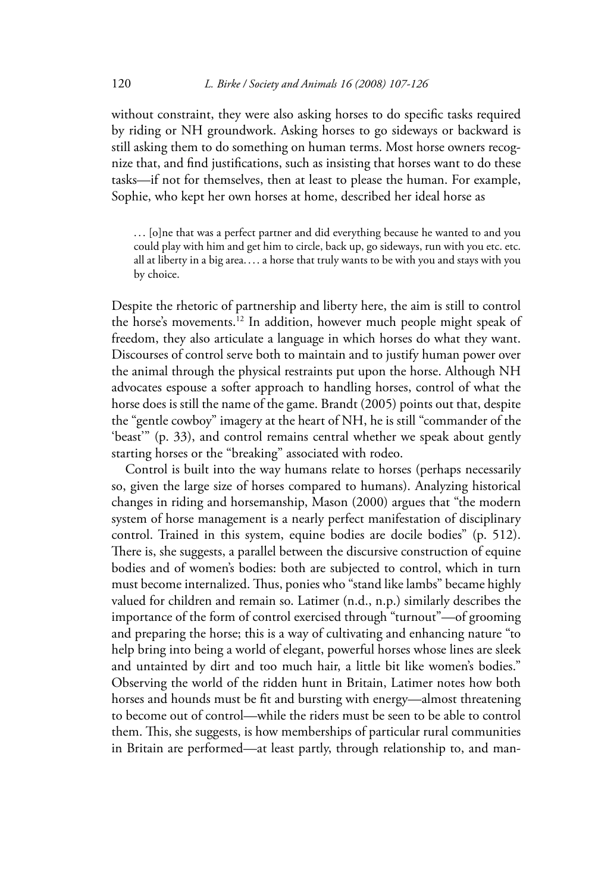without constraint, they were also asking horses to do specific tasks required by riding or NH groundwork. Asking horses to go sideways or backward is still asking them to do something on human terms. Most horse owners recognize that, and find justifications, such as insisting that horses want to do these tasks—if not for themselves, then at least to please the human. For example, Sophie, who kept her own horses at home, described her ideal horse as

... [o]ne that was a perfect partner and did everything because he wanted to and you could play with him and get him to circle, back up, go sideways, run with you etc. etc. all at liberty in a big area. . . . a horse that truly wants to be with you and stays with you by choice.

 Despite the rhetoric of partnership and liberty here, the aim is still to control the horse's movements.12 In addition, however much people might speak of freedom, they also articulate a language in which horses do what they want. Discourses of control serve both to maintain and to justify human power over the animal through the physical restraints put upon the horse. Although NH advocates espouse a softer approach to handling horses, control of what the horse does is still the name of the game. Brandt (2005) points out that, despite the "gentle cowboy" imagery at the heart of NH, he is still "commander of the 'beast'" (p. 33), and control remains central whether we speak about gently starting horses or the "breaking" associated with rodeo.

 Control is built into the way humans relate to horses (perhaps necessarily so, given the large size of horses compared to humans). Analyzing historical changes in riding and horsemanship, Mason (2000) argues that "the modern system of horse management is a nearly perfect manifestation of disciplinary control. Trained in this system, equine bodies are docile bodies" (p. 512). There is, she suggests, a parallel between the discursive construction of equine bodies and of women's bodies: both are subjected to control, which in turn must become internalized. Thus, ponies who "stand like lambs" became highly valued for children and remain so. Latimer (n.d., n.p.) similarly describes the importance of the form of control exercised through "turnout"—of grooming and preparing the horse; this is a way of cultivating and enhancing nature "to help bring into being a world of elegant, powerful horses whose lines are sleek and untainted by dirt and too much hair, a little bit like women's bodies." Observing the world of the ridden hunt in Britain, Latimer notes how both horses and hounds must be fit and bursting with energy—almost threatening to become out of control—while the riders must be seen to be able to control them. This, she suggests, is how memberships of particular rural communities in Britain are performed—at least partly, through relationship to, and man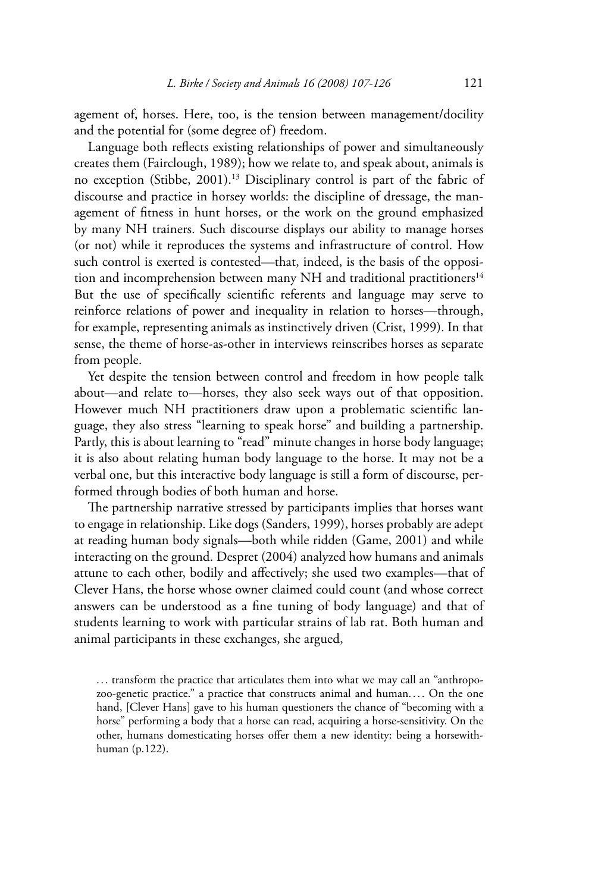agement of, horses. Here, too, is the tension between management/docility and the potential for (some degree of) freedom.

 Language both reflects existing relationships of power and simultaneously creates them (Fairclough, 1989); how we relate to, and speak about, animals is no exception (Stibbe, 2001).13 Disciplinary control is part of the fabric of discourse and practice in horsey worlds: the discipline of dressage, the management of fitness in hunt horses, or the work on the ground emphasized by many NH trainers. Such discourse displays our ability to manage horses (or not) while it reproduces the systems and infrastructure of control. How such control is exerted is contested—that, indeed, is the basis of the opposition and incomprehension between many NH and traditional practitioners<sup>14</sup> But the use of specifically scientific referents and language may serve to reinforce relations of power and inequality in relation to horses—through, for example, representing animals as instinctively driven (Crist, 1999). In that sense, the theme of horse-as-other in interviews reinscribes horses as separate from people.

 Yet despite the tension between control and freedom in how people talk about—and relate to—horses, they also seek ways out of that opposition. However much NH practitioners draw upon a problematic scientific language, they also stress "learning to speak horse" and building a partnership. Partly, this is about learning to "read" minute changes in horse body language; it is also about relating human body language to the horse. It may not be a verbal one, but this interactive body language is still a form of discourse, performed through bodies of both human and horse.

The partnership narrative stressed by participants implies that horses want to engage in relationship. Like dogs (Sanders, 1999), horses probably are adept at reading human body signals—both while ridden (Game, 2001) and while interacting on the ground. Despret (2004) analyzed how humans and animals attune to each other, bodily and affectively; she used two examples—that of Clever Hans, the horse whose owner claimed could count (and whose correct answers can be understood as a fine tuning of body language) and that of students learning to work with particular strains of lab rat. Both human and animal participants in these exchanges, she argued,

... transform the practice that articulates them into what we may call an "anthropozoo-genetic practice." a practice that constructs animal and human. . . . On the one hand, [Clever Hans] gave to his human questioners the chance of "becoming with a horse" performing a body that a horse can read, acquiring a horse-sensitivity. On the other, humans domesticating horses offer them a new identity: being a horsewithhuman (p.122).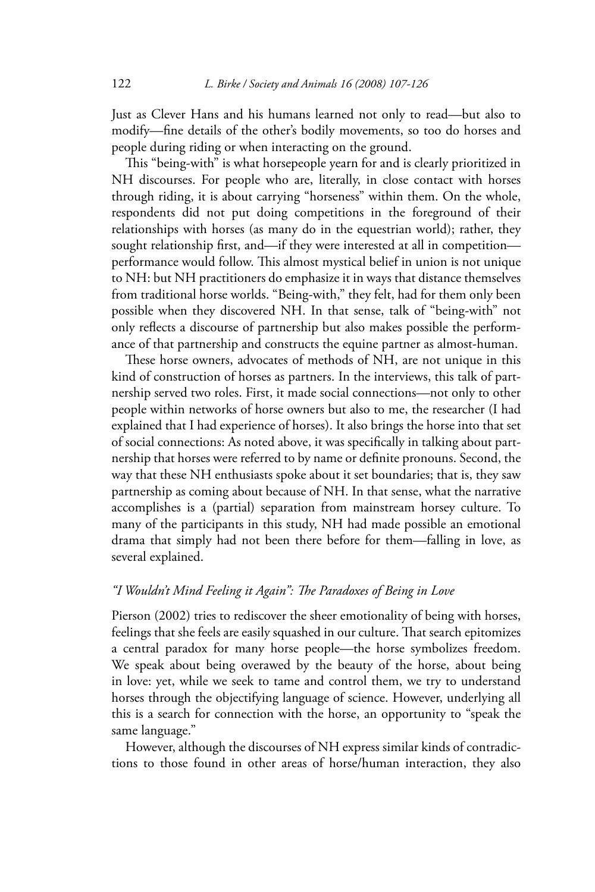Just as Clever Hans and his humans learned not only to read—but also to modify—fine details of the other's bodily movements, so too do horses and people during riding or when interacting on the ground.

This "being-with" is what horsepeople yearn for and is clearly prioritized in NH discourses. For people who are, literally, in close contact with horses through riding, it is about carrying "horseness" within them. On the whole, respondents did not put doing competitions in the foreground of their relationships with horses (as many do in the equestrian world); rather, they sought relationship first, and—if they were interested at all in competition performance would follow. This almost mystical belief in union is not unique to NH: but NH practitioners do emphasize it in ways that distance themselves from traditional horse worlds. "Being-with," they felt, had for them only been possible when they discovered NH. In that sense, talk of "being-with" not only reflects a discourse of partnership but also makes possible the performance of that partnership and constructs the equine partner as almost-human.

These horse owners, advocates of methods of NH, are not unique in this kind of construction of horses as partners. In the interviews, this talk of partnership served two roles. First, it made social connections—not only to other people within networks of horse owners but also to me, the researcher (I had explained that I had experience of horses). It also brings the horse into that set of social connections: As noted above, it was specifically in talking about partnership that horses were referred to by name or definite pronouns. Second, the way that these NH enthusiasts spoke about it set boundaries; that is, they saw partnership as coming about because of NH. In that sense, what the narrative accomplishes is a (partial) separation from mainstream horsey culture. To many of the participants in this study, NH had made possible an emotional drama that simply had not been there before for them—falling in love, as several explained.

# "I Wouldn't Mind Feeling it Again": The Paradoxes of Being in Love

Pierson (2002) tries to rediscover the sheer emotionality of being with horses, feelings that she feels are easily squashed in our culture. That search epitomizes a central paradox for many horse people—the horse symbolizes freedom. We speak about being overawed by the beauty of the horse, about being in love: yet, while we seek to tame and control them, we try to understand horses through the objectifying language of science. However, underlying all this is a search for connection with the horse, an opportunity to "speak the same language."

 However, although the discourses of NH express similar kinds of contradictions to those found in other areas of horse/human interaction, they also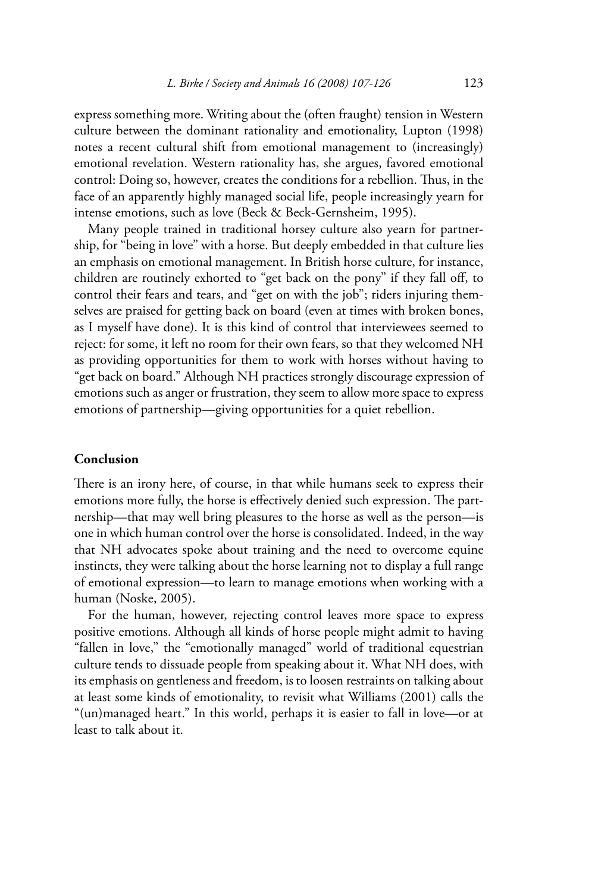express something more. Writing about the (often fraught) tension in Western culture between the dominant rationality and emotionality, Lupton (1998) notes a recent cultural shift from emotional management to (increasingly) emotional revelation. Western rationality has, she argues, favored emotional control: Doing so, however, creates the conditions for a rebellion. Thus, in the face of an apparently highly managed social life, people increasingly yearn for intense emotions, such as love (Beck & Beck-Gernsheim, 1995).

 Many people trained in traditional horsey culture also yearn for partnership, for "being in love" with a horse. But deeply embedded in that culture lies an emphasis on emotional management. In British horse culture, for instance, children are routinely exhorted to "get back on the pony" if they fall off, to control their fears and tears, and "get on with the job"; riders injuring themselves are praised for getting back on board (even at times with broken bones, as I myself have done). It is this kind of control that interviewees seemed to reject: for some, it left no room for their own fears, so that they welcomed NH as providing opportunities for them to work with horses without having to "get back on board." Although NH practices strongly discourage expression of emotions such as anger or frustration, they seem to allow more space to express emotions of partnership—giving opportunities for a quiet rebellion.

# **Conclusion**

There is an irony here, of course, in that while humans seek to express their emotions more fully, the horse is effectively denied such expression. The partnership—that may well bring pleasures to the horse as well as the person—is one in which human control over the horse is consolidated. Indeed, in the way that NH advocates spoke about training and the need to overcome equine instincts, they were talking about the horse learning not to display a full range of emotional expression—to learn to manage emotions when working with a human (Noske, 2005).

 For the human, however, rejecting control leaves more space to express positive emotions. Although all kinds of horse people might admit to having "fallen in love," the "emotionally managed" world of traditional equestrian culture tends to dissuade people from speaking about it. What NH does, with its emphasis on gentleness and freedom, is to loosen restraints on talking about at least some kinds of emotionality, to revisit what Williams (2001) calls the "(un)managed heart." In this world, perhaps it is easier to fall in love—or at least to talk about it.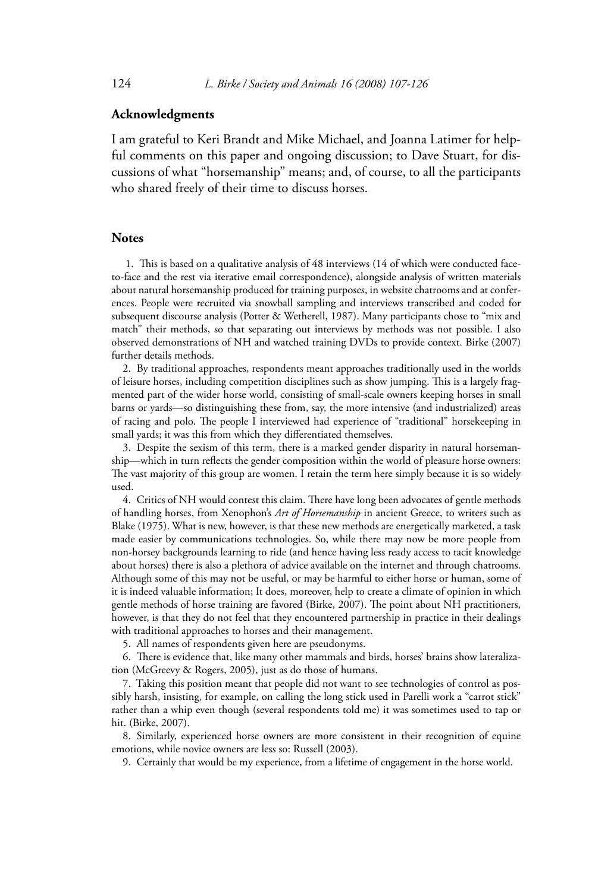# **Acknowledgments**

 I am grateful to Keri Brandt and Mike Michael, and Joanna Latimer for helpful comments on this paper and ongoing discussion; to Dave Stuart, for discussions of what "horsemanship" means; and, of course, to all the participants who shared freely of their time to discuss horses.

## **Notes**

1. This is based on a qualitative analysis of 48 interviews (14 of which were conducted faceto-face and the rest via iterative email correspondence), alongside analysis of written materials about natural horsemanship produced for training purposes, in website chatrooms and at conferences. People were recruited via snowball sampling and interviews transcribed and coded for subsequent discourse analysis (Potter & Wetherell, 1987). Many participants chose to "mix and match" their methods, so that separating out interviews by methods was not possible. I also observed demonstrations of NH and watched training DVDs to provide context. Birke (2007) further details methods.

2. By traditional approaches, respondents meant approaches traditionally used in the worlds of leisure horses, including competition disciplines such as show jumping. This is a largely fragmented part of the wider horse world, consisting of small-scale owners keeping horses in small barns or yards—so distinguishing these from, say, the more intensive (and industrialized) areas of racing and polo. The people I interviewed had experience of "traditional" horsekeeping in small yards; it was this from which they differentiated themselves.

3. Despite the sexism of this term, there is a marked gender disparity in natural horsemanship—which in turn reflects the gender composition within the world of pleasure horse owners: The vast majority of this group are women. I retain the term here simply because it is so widely used.

4. Critics of NH would contest this claim. There have long been advocates of gentle methods of handling horses, from Xenophon's *Art of Horsemanship* in ancient Greece, to writers such as Blake (1975). What is new, however, is that these new methods are energetically marketed, a task made easier by communications technologies. So, while there may now be more people from non-horsey backgrounds learning to ride (and hence having less ready access to tacit knowledge about horses) there is also a plethora of advice available on the internet and through chatrooms. Although some of this may not be useful, or may be harmful to either horse or human, some of it is indeed valuable information; It does, moreover, help to create a climate of opinion in which gentle methods of horse training are favored (Birke, 2007). The point about NH practitioners, however, is that they do not feel that they encountered partnership in practice in their dealings with traditional approaches to horses and their management.

5. All names of respondents given here are pseudonyms.

6. There is evidence that, like many other mammals and birds, horses' brains show lateralization (McGreevy & Rogers, 2005), just as do those of humans.

7. Taking this position meant that people did not want to see technologies of control as possibly harsh, insisting, for example, on calling the long stick used in Parelli work a "carrot stick" rather than a whip even though (several respondents told me) it was sometimes used to tap or hit. (Birke, 2007).

8. Similarly, experienced horse owners are more consistent in their recognition of equine emotions, while novice owners are less so: Russell (2003).

9. Certainly that would be my experience, from a lifetime of engagement in the horse world.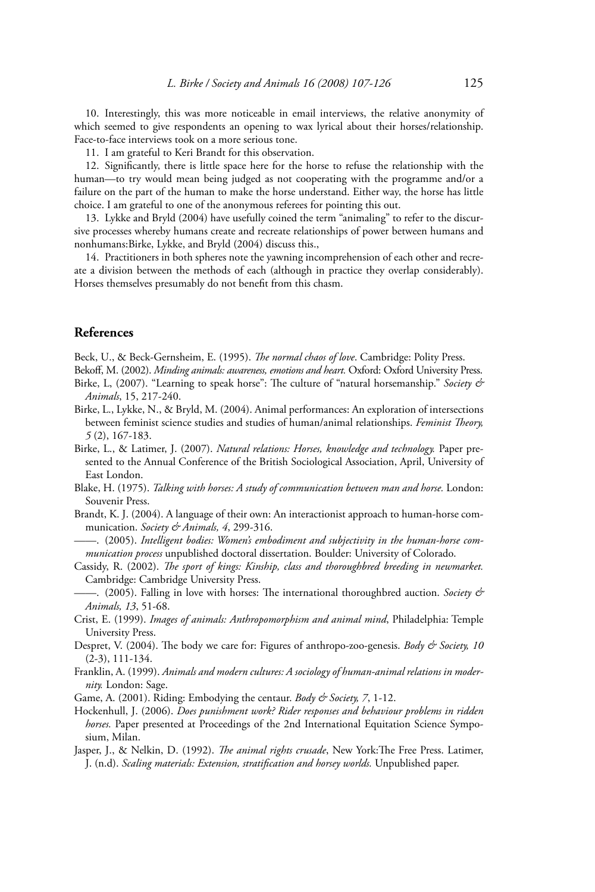10. Interestingly, this was more noticeable in email interviews, the relative anonymity of which seemed to give respondents an opening to wax lyrical about their horses/relationship. Face-to-face interviews took on a more serious tone.

11. I am grateful to Keri Brandt for this observation.

12. Significantly, there is little space here for the horse to refuse the relationship with the human—to try would mean being judged as not cooperating with the programme and/or a failure on the part of the human to make the horse understand. Either way, the horse has little choice. I am grateful to one of the anonymous referees for pointing this out.

13. Lykke and Bryld (2004) have usefully coined the term "animaling" to refer to the discursive processes whereby humans create and recreate relationships of power between humans and nonhumans:Birke, Lykke, and Bryld (2004) discuss this.,

14. Practitioners in both spheres note the yawning incomprehension of each other and recreate a division between the methods of each (although in practice they overlap considerably). Horses themselves presumably do not benefit from this chasm.

## **References**

Beck, U., & Beck-Gernsheim, E. (1995). *The normal chaos of love*. Cambridge: Polity Press.

- Bekoff, M. (2002). *Minding animals: awareness, emotions and heart.* Oxford: Oxford University Press.
- Birke, L, (2007). "Learning to speak horse": The culture of "natural horsemanship." Society & *Animals*, 15, 217-240.
- Birke, L., Lykke, N., & Bryld, M. (2004). Animal performances: An exploration of intersections between feminist science studies and studies of human/animal relationships. *Feminist Theory*, *5* (2), 167-183.
- Birke, L., & Latimer, J. (2007). *Natural relations: Horses, knowledge and technology.* Paper presented to the Annual Conference of the British Sociological Association, April, University of East London.
- Blake, H. (1975). *Talking with horses: A study of communication between man and horse.* London: Souvenir Press.
- Brandt, K. J. (2004). A language of their own: An interactionist approach to human-horse communication. *Society & Animals, 4*, 299-316.
- ——. (2005). *Intelligent bodies: Women's embodiment and subjectivity in the human-horse communication process* unpublished doctoral dissertation. Boulder: University of Colorado.
- Cassidy, R. (2002). *The sport of kings: Kinship, class and thoroughbred breeding in newmarket.* Cambridge: Cambridge University Press.

 $-$ . (2005). Falling in love with horses: The international thoroughbred auction. *Society & Animals, 13*, 51-68.

- Crist, E. (1999). *Images of animals: Anthropomorphism and animal mind*, Philadelphia: Temple University Press.
- Despret, V. (2004). The body we care for: Figures of anthropo-zoo-genesis. *Body & Society, 10* (2-3), 111-134.
- Franklin, A. (1999). *Animals and modern cultures: A sociology of human-animal relations in modernity.* London: Sage.
- Game, A. (2001). Riding: Embodying the centaur. *Body & Society, 7*, 1-12.
- Hockenhull, J. (2006). *Does punishment work? Rider responses and behaviour problems in ridden horses.* Paper presented at Proceedings of the 2nd International Equitation Science Symposium, Milan.
- Jasper, J., & Nelkin, D. (1992). *The animal rights crusade*, New York: The Free Press. Latimer, J. (n.d). *Scaling materials: Extension, stratification and horsey worlds.* Unpublished paper.